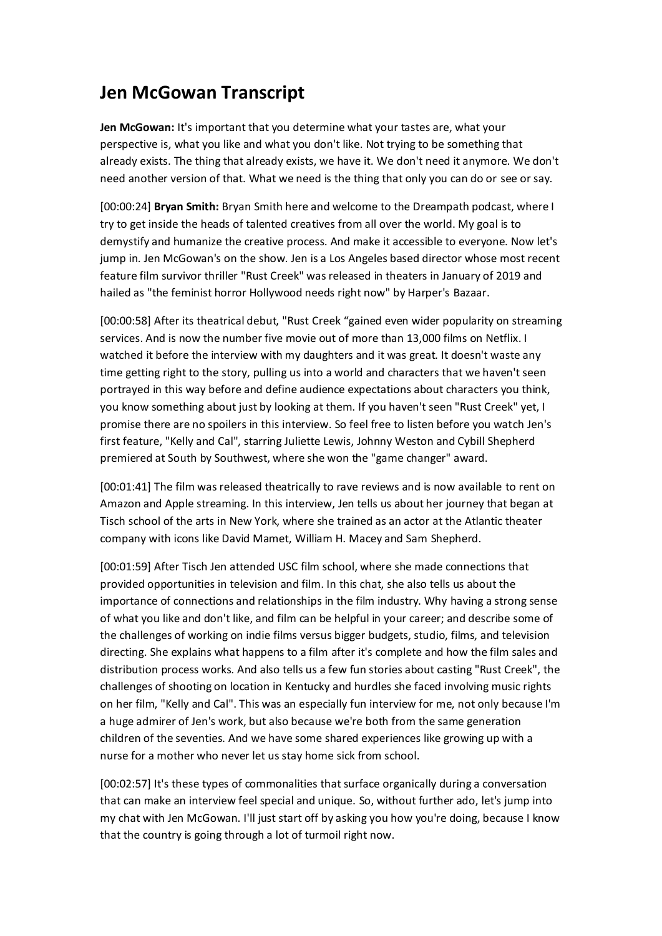## **Jen McGowan Transcript**

**Jen McGowan:** It's important that you determine what your tastes are, what your perspective is, what you like and what you don't like. Not trying to be something that already exists. The thing that already exists, we have it. We don't need it anymore. We don't need another version of that. What we need is the thing that only you can do or see or say.

[00:00:24] **Bryan Smith:** Bryan Smith here and welcome to the Dreampath podcast, where I try to get inside the heads of talented creatives from all over the world. My goal is to demystify and humanize the creative process. And make it accessible to everyone. Now let's jump in. Jen McGowan's on the show. Jen is a Los Angeles based director whose most recent feature film survivor thriller "Rust Creek" was released in theaters in January of 2019 and hailed as "the feminist horror Hollywood needs right now" by Harper's Bazaar.

[00:00:58] After its theatrical debut, "Rust Creek "gained even wider popularity on streaming services. And is now the number five movie out of more than 13,000 films on Netflix. I watched it before the interview with my daughters and it was great. It doesn't waste any time getting right to the story, pulling us into a world and characters that we haven't seen portrayed in this way before and define audience expectations about characters you think, you know something about just by looking at them. If you haven't seen "Rust Creek" yet, I promise there are no spoilers in this interview. So feel free to listen before you watch Jen's first feature, "Kelly and Cal", starring Juliette Lewis, Johnny Weston and Cybill Shepherd premiered at South by Southwest, where she won the "game changer" award.

[00:01:41] The film was released theatrically to rave reviews and is now available to rent on Amazon and Apple streaming. In this interview, Jen tells us about her journey that began at Tisch school of the arts in New York, where she trained as an actor at the Atlantic theater company with icons like David Mamet, William H. Macey and Sam Shepherd.

[00:01:59] After Tisch Jen attended USC film school, where she made connections that provided opportunities in television and film. In this chat, she also tells us about the importance of connections and relationships in the film industry. Why having a strong sense of what you like and don't like, and film can be helpful in your career; and describe some of the challenges of working on indie films versus bigger budgets, studio, films, and television directing. She explains what happens to a film after it's complete and how the film sales and distribution process works. And also tells us a few fun stories about casting "Rust Creek", the challenges of shooting on location in Kentucky and hurdles she faced involving music rights on her film, "Kelly and Cal". This was an especially fun interview for me, not only because I'm a huge admirer of Jen's work, but also because we're both from the same generation children of the seventies. And we have some shared experiences like growing up with a nurse for a mother who never let us stay home sick from school.

[00:02:57] It's these types of commonalities that surface organically during a conversation that can make an interview feel special and unique. So, without further ado, let's jump into my chat with Jen McGowan. I'll just start off by asking you how you're doing, because I know that the country is going through a lot of turmoil right now.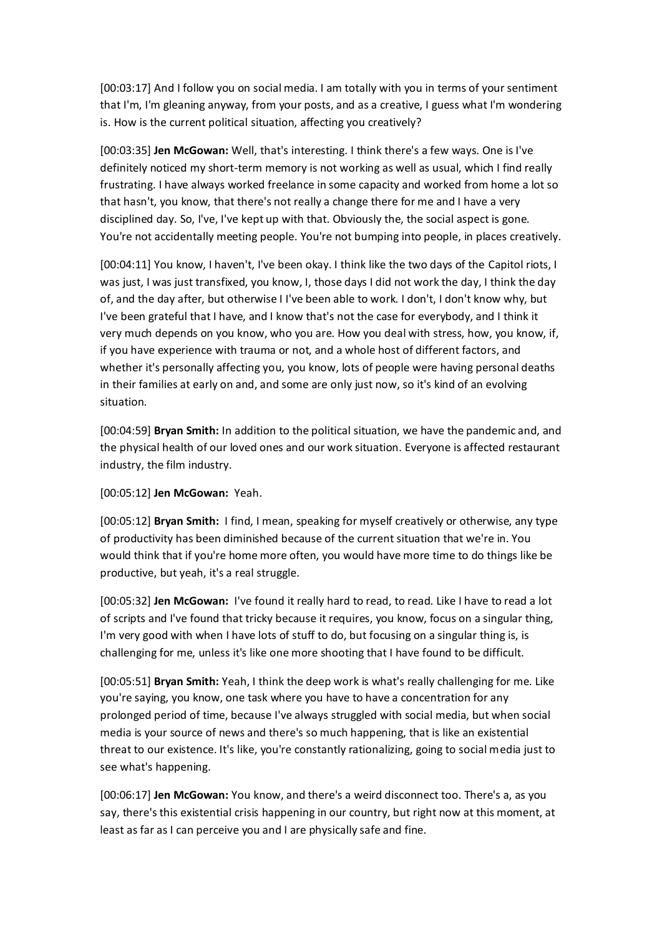[00:03:17] And I follow you on social media. I am totally with you in terms of your sentiment that I'm, I'm gleaning anyway, from your posts, and as a creative, I guess what I'm wondering is. How is the current political situation, affecting you creatively?

[00:03:35] **Jen McGowan:** Well, that's interesting. I think there's a few ways. One is I've definitely noticed my short-term memory is not working as well as usual, which I find really frustrating. I have always worked freelance in some capacity and worked from home a lot so that hasn't, you know, that there's not really a change there for me and I have a very disciplined day. So, I've, I've kept up with that. Obviously the, the social aspect is gone. You're not accidentally meeting people. You're not bumping into people, in places creatively.

[00:04:11] You know, I haven't, I've been okay. I think like the two days of the Capitol riots, I was just, I was just transfixed, you know, I, those days I did not work the day, I think the day of, and the day after, but otherwise I I've been able to work. I don't, I don't know why, but I've been grateful that I have, and I know that's not the case for everybody, and I think it very much depends on you know, who you are. How you deal with stress, how, you know, if, if you have experience with trauma or not, and a whole host of different factors, and whether it's personally affecting you, you know, lots of people were having personal deaths in their families at early on and, and some are only just now, so it's kind of an evolving situation.

[00:04:59] **Bryan Smith:** In addition to the political situation, we have the pandemic and, and the physical health of our loved ones and our work situation. Everyone is affected restaurant industry, the film industry.

[00:05:12] **Jen McGowan:** Yeah.

[00:05:12] **Bryan Smith:** I find, I mean, speaking for myself creatively or otherwise, any type of productivity has been diminished because of the current situation that we're in. You would think that if you're home more often, you would have more time to do things like be productive, but yeah, it's a real struggle.

[00:05:32] **Jen McGowan:** I've found it really hard to read, to read. Like I have to read a lot of scripts and I've found that tricky because it requires, you know, focus on a singular thing, I'm very good with when I have lots of stuff to do, but focusing on a singular thing is, is challenging for me, unless it's like one more shooting that I have found to be difficult.

[00:05:51] **Bryan Smith:** Yeah, I think the deep work is what's really challenging for me. Like you're saying, you know, one task where you have to have a concentration for any prolonged period of time, because I've always struggled with social media, but when social media is your source of news and there's so much happening, that is like an existential threat to our existence. It's like, you're constantly rationalizing, going to social media just to see what's happening.

[00:06:17] **Jen McGowan:** You know, and there's a weird disconnect too. There's a, as you say, there's this existential crisis happening in our country, but right now at this moment, at least as far as I can perceive you and I are physically safe and fine.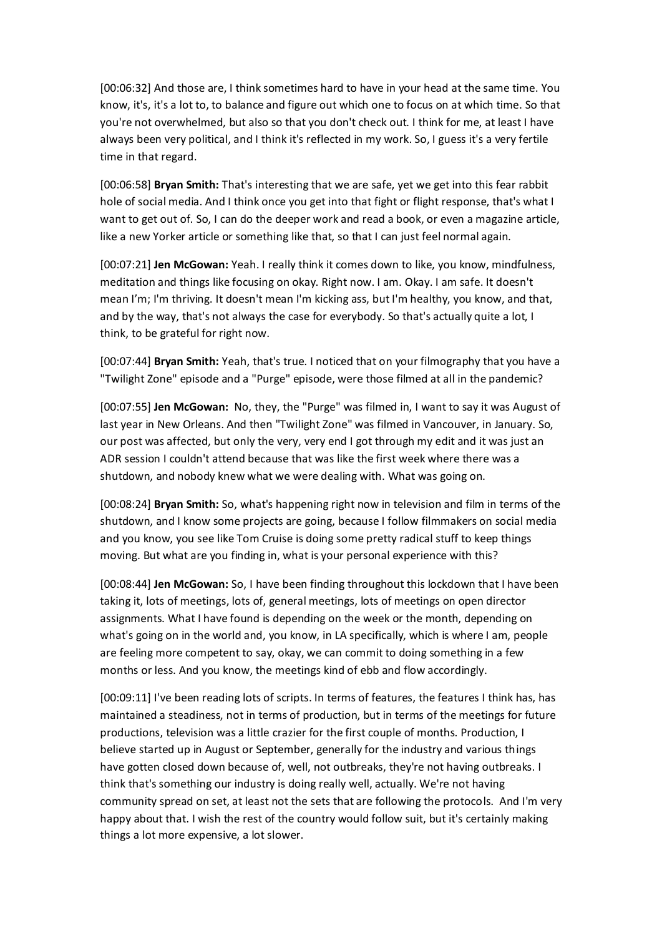[00:06:32] And those are, I think sometimes hard to have in your head at the same time. You know, it's, it's a lot to, to balance and figure out which one to focus on at which time. So that you're not overwhelmed, but also so that you don't check out. I think for me, at least I have always been very political, and I think it's reflected in my work. So, I guess it's a very fertile time in that regard.

[00:06:58] **Bryan Smith:** That's interesting that we are safe, yet we get into this fear rabbit hole of social media. And I think once you get into that fight or flight response, that's what I want to get out of. So, I can do the deeper work and read a book, or even a magazine article, like a new Yorker article or something like that, so that I can just feel normal again.

[00:07:21] **Jen McGowan:** Yeah. I really think it comes down to like, you know, mindfulness, meditation and things like focusing on okay. Right now. I am. Okay. I am safe. It doesn't mean I'm; I'm thriving. It doesn't mean I'm kicking ass, but I'm healthy, you know, and that, and by the way, that's not always the case for everybody. So that's actually quite a lot, I think, to be grateful for right now.

[00:07:44] **Bryan Smith:** Yeah, that's true. I noticed that on your filmography that you have a "Twilight Zone" episode and a "Purge" episode, were those filmed at all in the pandemic?

[00:07:55] **Jen McGowan:** No, they, the "Purge" was filmed in, I want to say it was August of last year in New Orleans. And then "Twilight Zone" was filmed in Vancouver, in January. So, our post was affected, but only the very, very end I got through my edit and it was just an ADR session I couldn't attend because that was like the first week where there was a shutdown, and nobody knew what we were dealing with. What was going on.

[00:08:24] **Bryan Smith:** So, what's happening right now in television and film in terms of the shutdown, and I know some projects are going, because I follow filmmakers on social media and you know, you see like Tom Cruise is doing some pretty radical stuff to keep things moving. But what are you finding in, what is your personal experience with this?

[00:08:44] **Jen McGowan:** So, I have been finding throughout this lockdown that I have been taking it, lots of meetings, lots of, general meetings, lots of meetings on open director assignments. What I have found is depending on the week or the month, depending on what's going on in the world and, you know, in LA specifically, which is where I am, people are feeling more competent to say, okay, we can commit to doing something in a few months or less. And you know, the meetings kind of ebb and flow accordingly.

[00:09:11] I've been reading lots of scripts. In terms of features, the features I think has, has maintained a steadiness, not in terms of production, but in terms of the meetings for future productions, television was a little crazier for the first couple of months. Production, I believe started up in August or September, generally for the industry and various things have gotten closed down because of, well, not outbreaks, they're not having outbreaks. I think that's something our industry is doing really well, actually. We're not having community spread on set, at least not the sets that are following the protocols. And I'm very happy about that. I wish the rest of the country would follow suit, but it's certainly making things a lot more expensive, a lot slower.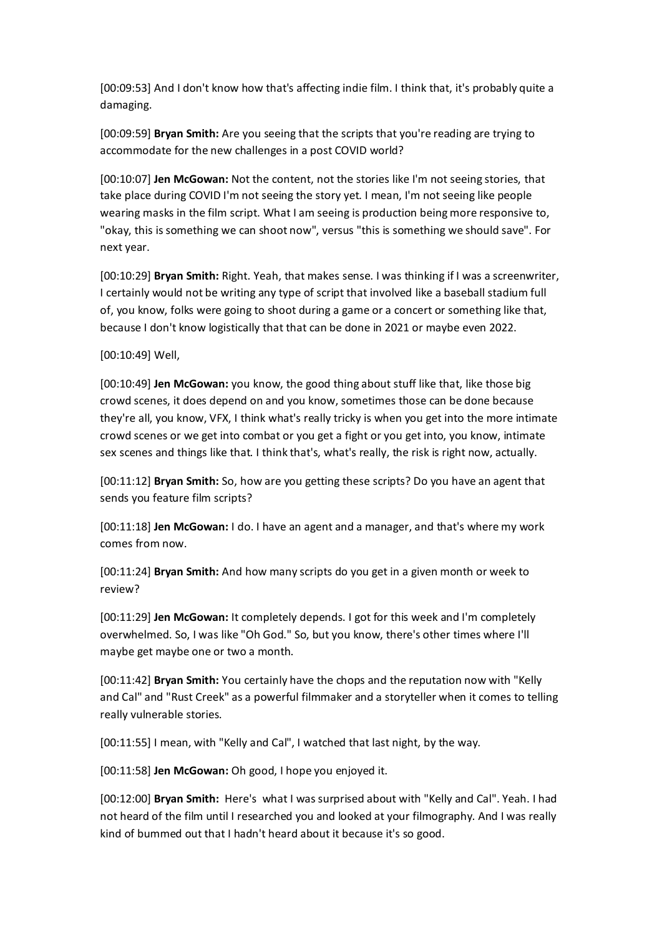[00:09:53] And I don't know how that's affecting indie film. I think that, it's probably quite a damaging.

[00:09:59] **Bryan Smith:** Are you seeing that the scripts that you're reading are trying to accommodate for the new challenges in a post COVID world?

[00:10:07] **Jen McGowan:** Not the content, not the stories like I'm not seeing stories, that take place during COVID I'm not seeing the story yet. I mean, I'm not seeing like people wearing masks in the film script. What I am seeing is production being more responsive to, "okay, this is something we can shoot now", versus "this is something we should save". For next year.

[00:10:29] **Bryan Smith:** Right. Yeah, that makes sense. I was thinking if I was a screenwriter, I certainly would not be writing any type of script that involved like a baseball stadium full of, you know, folks were going to shoot during a game or a concert or something like that, because I don't know logistically that that can be done in 2021 or maybe even 2022.

[00:10:49] Well,

[00:10:49] **Jen McGowan:** you know, the good thing about stuff like that, like those big crowd scenes, it does depend on and you know, sometimes those can be done because they're all, you know, VFX, I think what's really tricky is when you get into the more intimate crowd scenes or we get into combat or you get a fight or you get into, you know, intimate sex scenes and things like that. I think that's, what's really, the risk is right now, actually.

[00:11:12] **Bryan Smith:** So, how are you getting these scripts? Do you have an agent that sends you feature film scripts?

[00:11:18] **Jen McGowan:** I do. I have an agent and a manager, and that's where my work comes from now.

[00:11:24] **Bryan Smith:** And how many scripts do you get in a given month or week to review?

[00:11:29] **Jen McGowan:** It completely depends. I got for this week and I'm completely overwhelmed. So, I was like "Oh God." So, but you know, there's other times where I'll maybe get maybe one or two a month.

[00:11:42] **Bryan Smith:** You certainly have the chops and the reputation now with "Kelly and Cal" and "Rust Creek" as a powerful filmmaker and a storyteller when it comes to telling really vulnerable stories.

[00:11:55] I mean, with "Kelly and Cal", I watched that last night, by the way.

[00:11:58] **Jen McGowan:** Oh good, I hope you enjoyed it.

[00:12:00] **Bryan Smith:** Here's what I was surprised about with "Kelly and Cal". Yeah. I had not heard of the film until I researched you and looked at your filmography. And I was really kind of bummed out that I hadn't heard about it because it's so good.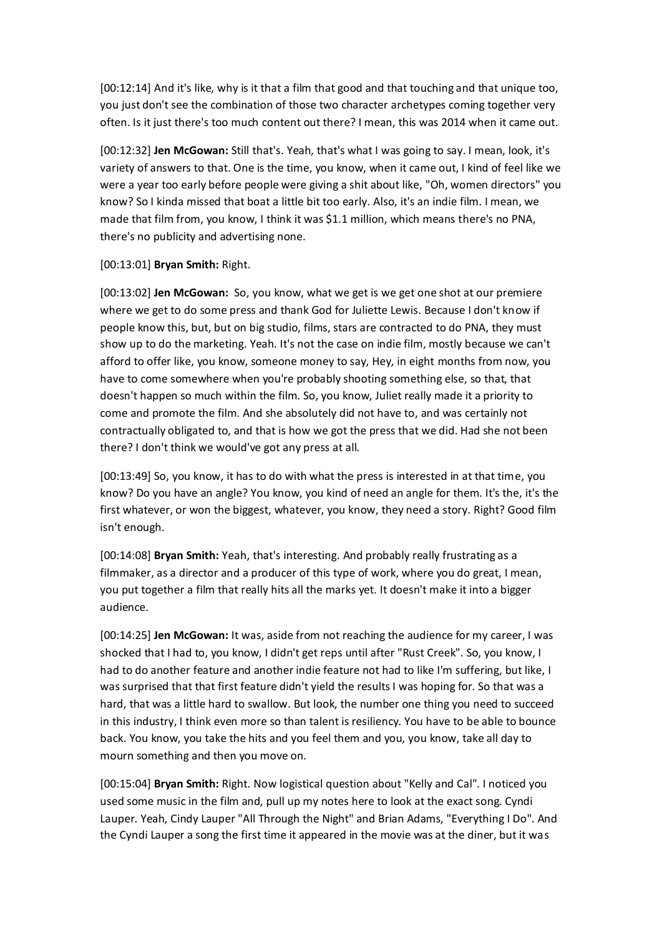[00:12:14] And it's like, why is it that a film that good and that touching and that unique too, you just don't see the combination of those two character archetypes coming together very often. Is it just there's too much content out there? I mean, this was 2014 when it came out.

[00:12:32] **Jen McGowan:** Still that's. Yeah, that's what I was going to say. I mean, look, it's variety of answers to that. One is the time, you know, when it came out, I kind of feel like we were a year too early before people were giving a shit about like, "Oh, women directors" you know? So I kinda missed that boat a little bit too early. Also, it's an indie film. I mean, we made that film from, you know, I think it was \$1.1 million, which means there's no PNA, there's no publicity and advertising none.

## [00:13:01] **Bryan Smith:** Right.

[00:13:02] **Jen McGowan:** So, you know, what we get is we get one shot at our premiere where we get to do some press and thank God for Juliette Lewis. Because I don't know if people know this, but, but on big studio, films, stars are contracted to do PNA, they must show up to do the marketing. Yeah. It's not the case on indie film, mostly because we can't afford to offer like, you know, someone money to say, Hey, in eight months from now, you have to come somewhere when you're probably shooting something else, so that, that doesn't happen so much within the film. So, you know, Juliet really made it a priority to come and promote the film. And she absolutely did not have to, and was certainly not contractually obligated to, and that is how we got the press that we did. Had she not been there? I don't think we would've got any press at all.

[00:13:49] So, you know, it has to do with what the press is interested in at that time, you know? Do you have an angle? You know, you kind of need an angle for them. It's the, it's the first whatever, or won the biggest, whatever, you know, they need a story. Right? Good film isn't enough.

[00:14:08] **Bryan Smith:** Yeah, that's interesting. And probably really frustrating as a filmmaker, as a director and a producer of this type of work, where you do great, I mean, you put together a film that really hits all the marks yet. It doesn't make it into a bigger audience.

[00:14:25] **Jen McGowan:** It was, aside from not reaching the audience for my career, I was shocked that I had to, you know, I didn't get reps until after "Rust Creek". So, you know, I had to do another feature and another indie feature not had to like I'm suffering, but like, I was surprised that that first feature didn't yield the results I was hoping for. So that was a hard, that was a little hard to swallow. But look, the number one thing you need to succeed in this industry, I think even more so than talent is resiliency. You have to be able to bounce back. You know, you take the hits and you feel them and you, you know, take all day to mourn something and then you move on.

[00:15:04] **Bryan Smith:** Right. Now logistical question about "Kelly and Cal". I noticed you used some music in the film and, pull up my notes here to look at the exact song. Cyndi Lauper. Yeah, Cindy Lauper "All Through the Night" and Brian Adams, "Everything I Do". And the Cyndi Lauper a song the first time it appeared in the movie was at the diner, but it was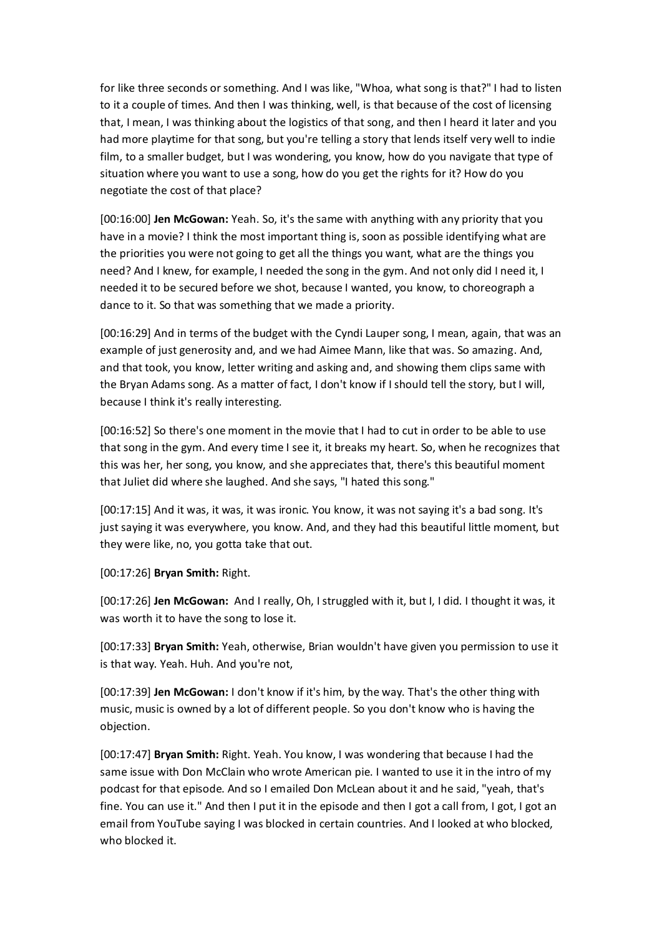for like three seconds or something. And I was like, "Whoa, what song is that?" I had to listen to it a couple of times. And then I was thinking, well, is that because of the cost of licensing that, I mean, I was thinking about the logistics of that song, and then I heard it later and you had more playtime for that song, but you're telling a story that lends itself very well to indie film, to a smaller budget, but I was wondering, you know, how do you navigate that type of situation where you want to use a song, how do you get the rights for it? How do you negotiate the cost of that place?

[00:16:00] **Jen McGowan:** Yeah. So, it's the same with anything with any priority that you have in a movie? I think the most important thing is, soon as possible identifying what are the priorities you were not going to get all the things you want, what are the things you need? And I knew, for example, I needed the song in the gym. And not only did I need it, I needed it to be secured before we shot, because I wanted, you know, to choreograph a dance to it. So that was something that we made a priority.

[00:16:29] And in terms of the budget with the Cyndi Lauper song, I mean, again, that was an example of just generosity and, and we had Aimee Mann, like that was. So amazing. And, and that took, you know, letter writing and asking and, and showing them clips same with the Bryan Adams song. As a matter of fact, I don't know if I should tell the story, but I will, because I think it's really interesting.

[00:16:52] So there's one moment in the movie that I had to cut in order to be able to use that song in the gym. And every time I see it, it breaks my heart. So, when he recognizes that this was her, her song, you know, and she appreciates that, there's this beautiful moment that Juliet did where she laughed. And she says, "I hated this song."

[00:17:15] And it was, it was, it was ironic. You know, it was not saying it's a bad song. It's just saying it was everywhere, you know. And, and they had this beautiful little moment, but they were like, no, you gotta take that out.

[00:17:26] **Bryan Smith:** Right.

[00:17:26] **Jen McGowan:** And I really, Oh, I struggled with it, but I, I did. I thought it was, it was worth it to have the song to lose it.

[00:17:33] **Bryan Smith:** Yeah, otherwise, Brian wouldn't have given you permission to use it is that way. Yeah. Huh. And you're not,

[00:17:39] **Jen McGowan:** I don't know if it's him, by the way. That's the other thing with music, music is owned by a lot of different people. So you don't know who is having the objection.

[00:17:47] **Bryan Smith:** Right. Yeah. You know, I was wondering that because I had the same issue with Don McClain who wrote American pie. I wanted to use it in the intro of my podcast for that episode. And so I emailed Don McLean about it and he said, "yeah, that's fine. You can use it." And then I put it in the episode and then I got a call from, I got, I got an email from YouTube saying I was blocked in certain countries. And I looked at who blocked, who blocked it.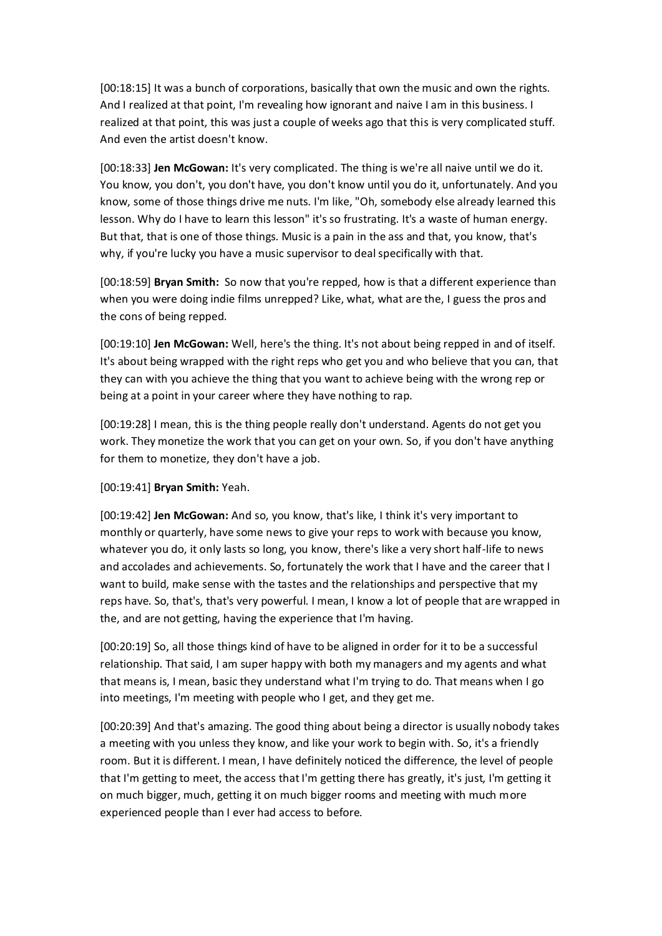[00:18:15] It was a bunch of corporations, basically that own the music and own the rights. And I realized at that point, I'm revealing how ignorant and naive I am in this business. I realized at that point, this was just a couple of weeks ago that this is very complicated stuff. And even the artist doesn't know.

[00:18:33] **Jen McGowan:** It's very complicated. The thing is we're all naive until we do it. You know, you don't, you don't have, you don't know until you do it, unfortunately. And you know, some of those things drive me nuts. I'm like, "Oh, somebody else already learned this lesson. Why do I have to learn this lesson" it's so frustrating. It's a waste of human energy. But that, that is one of those things. Music is a pain in the ass and that, you know, that's why, if you're lucky you have a music supervisor to deal specifically with that.

[00:18:59] **Bryan Smith:** So now that you're repped, how is that a different experience than when you were doing indie films unrepped? Like, what, what are the, I guess the pros and the cons of being repped.

[00:19:10] **Jen McGowan:** Well, here's the thing. It's not about being repped in and of itself. It's about being wrapped with the right reps who get you and who believe that you can, that they can with you achieve the thing that you want to achieve being with the wrong rep or being at a point in your career where they have nothing to rap.

[00:19:28] I mean, this is the thing people really don't understand. Agents do not get you work. They monetize the work that you can get on your own. So, if you don't have anything for them to monetize, they don't have a job.

[00:19:41] **Bryan Smith:** Yeah.

[00:19:42] **Jen McGowan:** And so, you know, that's like, I think it's very important to monthly or quarterly, have some news to give your reps to work with because you know, whatever you do, it only lasts so long, you know, there's like a very short half-life to news and accolades and achievements. So, fortunately the work that I have and the career that I want to build, make sense with the tastes and the relationships and perspective that my reps have. So, that's, that's very powerful. I mean, I know a lot of people that are wrapped in the, and are not getting, having the experience that I'm having.

[00:20:19] So, all those things kind of have to be aligned in order for it to be a successful relationship. That said, I am super happy with both my managers and my agents and what that means is, I mean, basic they understand what I'm trying to do. That means when I go into meetings, I'm meeting with people who I get, and they get me.

[00:20:39] And that's amazing. The good thing about being a director is usually nobody takes a meeting with you unless they know, and like your work to begin with. So, it's a friendly room. But it is different. I mean, I have definitely noticed the difference, the level of people that I'm getting to meet, the access that I'm getting there has greatly, it's just, I'm getting it on much bigger, much, getting it on much bigger rooms and meeting with much more experienced people than I ever had access to before.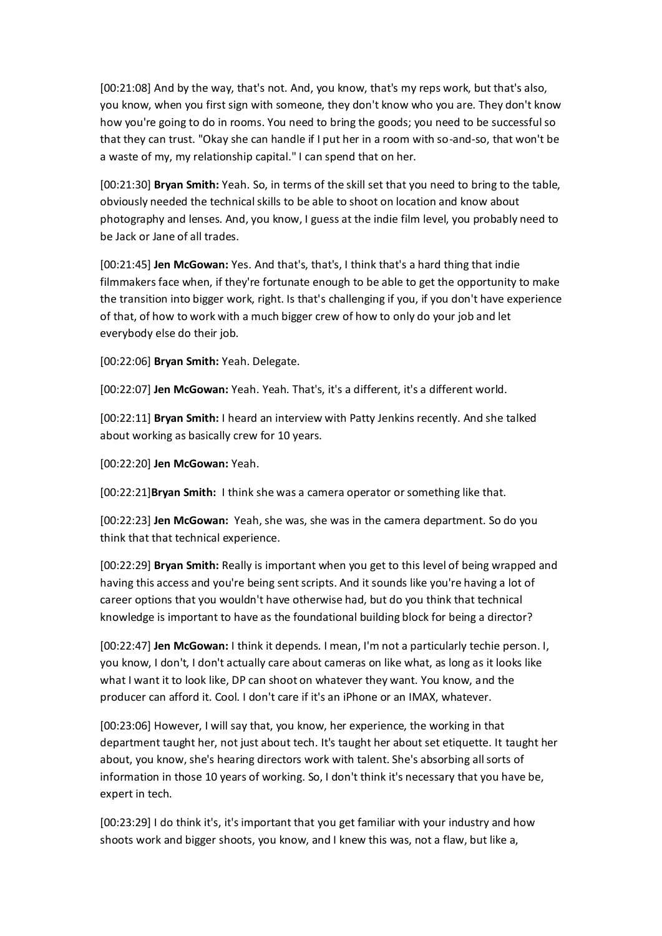[00:21:08] And by the way, that's not. And, you know, that's my reps work, but that's also, you know, when you first sign with someone, they don't know who you are. They don't know how you're going to do in rooms. You need to bring the goods; you need to be successful so that they can trust. "Okay she can handle if I put her in a room with so-and-so, that won't be a waste of my, my relationship capital." I can spend that on her.

[00:21:30] **Bryan Smith:** Yeah. So, in terms of the skill set that you need to bring to the table, obviously needed the technical skills to be able to shoot on location and know about photography and lenses. And, you know, I guess at the indie film level, you probably need to be Jack or Jane of all trades.

[00:21:45] **Jen McGowan:** Yes. And that's, that's, I think that's a hard thing that indie filmmakers face when, if they're fortunate enough to be able to get the opportunity to make the transition into bigger work, right. Is that's challenging if you, if you don't have experience of that, of how to work with a much bigger crew of how to only do your job and let everybody else do their job.

[00:22:06] **Bryan Smith:** Yeah. Delegate.

[00:22:07] **Jen McGowan:** Yeah. Yeah. That's, it's a different, it's a different world.

[00:22:11] **Bryan Smith:** I heard an interview with Patty Jenkins recently. And she talked about working as basically crew for 10 years.

[00:22:20] **Jen McGowan:** Yeah.

[00:22:21]**Bryan Smith:** I think she was a camera operator or something like that.

[00:22:23] **Jen McGowan:** Yeah, she was, she was in the camera department. So do you think that that technical experience.

[00:22:29] **Bryan Smith:** Really is important when you get to this level of being wrapped and having this access and you're being sent scripts. And it sounds like you're having a lot of career options that you wouldn't have otherwise had, but do you think that technical knowledge is important to have as the foundational building block for being a director?

[00:22:47] **Jen McGowan:** I think it depends. I mean, I'm not a particularly techie person. I, you know, I don't, I don't actually care about cameras on like what, as long as it looks like what I want it to look like, DP can shoot on whatever they want. You know, and the producer can afford it. Cool. I don't care if it's an iPhone or an IMAX, whatever.

[00:23:06] However, I will say that, you know, her experience, the working in that department taught her, not just about tech. It's taught her about set etiquette. It taught her about, you know, she's hearing directors work with talent. She's absorbing all sorts of information in those 10 years of working. So, I don't think it's necessary that you have be, expert in tech.

[00:23:29] I do think it's, it's important that you get familiar with your industry and how shoots work and bigger shoots, you know, and I knew this was, not a flaw, but like a,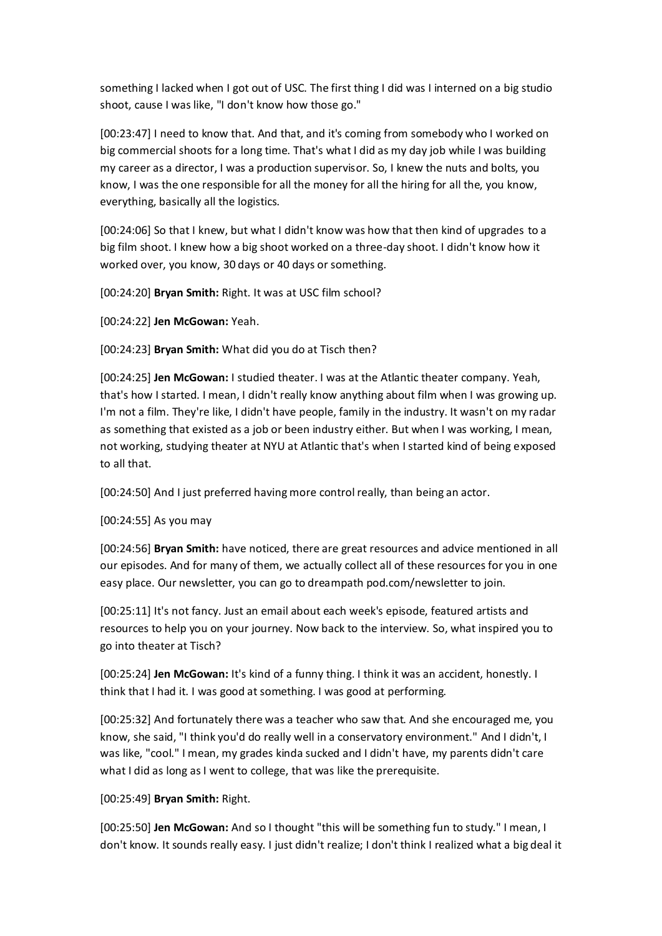something I lacked when I got out of USC. The first thing I did was I interned on a big studio shoot, cause I was like, "I don't know how those go."

[00:23:47] I need to know that. And that, and it's coming from somebody who I worked on big commercial shoots for a long time. That's what I did as my day job while I was building my career as a director, I was a production supervisor. So, I knew the nuts and bolts, you know, I was the one responsible for all the money for all the hiring for all the, you know, everything, basically all the logistics.

[00:24:06] So that I knew, but what I didn't know was how that then kind of upgrades to a big film shoot. I knew how a big shoot worked on a three-day shoot. I didn't know how it worked over, you know, 30 days or 40 days or something.

[00:24:20] **Bryan Smith:** Right. It was at USC film school?

[00:24:22] **Jen McGowan:** Yeah.

[00:24:23] **Bryan Smith:** What did you do at Tisch then?

[00:24:25] **Jen McGowan:** I studied theater. I was at the Atlantic theater company. Yeah, that's how I started. I mean, I didn't really know anything about film when I was growing up. I'm not a film. They're like, I didn't have people, family in the industry. It wasn't on my radar as something that existed as a job or been industry either. But when I was working, I mean, not working, studying theater at NYU at Atlantic that's when I started kind of being exposed to all that.

[00:24:50] And I just preferred having more control really, than being an actor.

[00:24:55] As you may

[00:24:56] **Bryan Smith:** have noticed, there are great resources and advice mentioned in all our episodes. And for many of them, we actually collect all of these resources for you in one easy place. Our newsletter, you can go to dreampath pod.com/newsletter to join.

[00:25:11] It's not fancy. Just an email about each week's episode, featured artists and resources to help you on your journey. Now back to the interview. So, what inspired you to go into theater at Tisch?

[00:25:24] **Jen McGowan:** It's kind of a funny thing. I think it was an accident, honestly. I think that I had it. I was good at something. I was good at performing.

[00:25:32] And fortunately there was a teacher who saw that. And she encouraged me, you know, she said, "I think you'd do really well in a conservatory environment." And I didn't, I was like, "cool." I mean, my grades kinda sucked and I didn't have, my parents didn't care what I did as long as I went to college, that was like the prerequisite.

[00:25:49] **Bryan Smith:** Right.

[00:25:50] **Jen McGowan:** And so I thought "this will be something fun to study." I mean, I don't know. It sounds really easy. I just didn't realize; I don't think I realized what a big deal it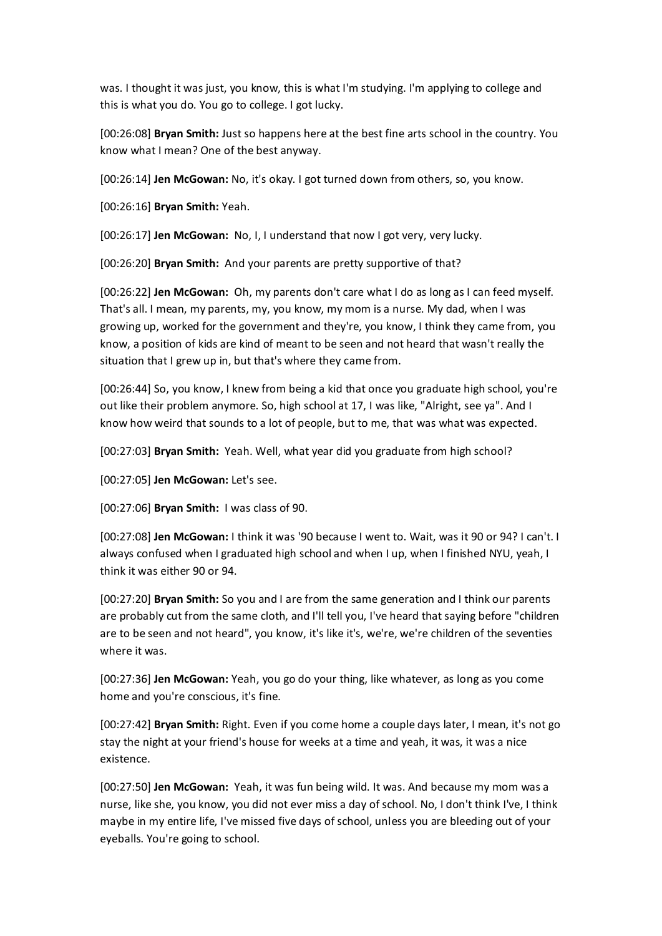was. I thought it was just, you know, this is what I'm studying. I'm applying to college and this is what you do. You go to college. I got lucky.

[00:26:08] **Bryan Smith:** Just so happens here at the best fine arts school in the country. You know what I mean? One of the best anyway.

[00:26:14] **Jen McGowan:** No, it's okay. I got turned down from others, so, you know.

[00:26:16] **Bryan Smith:** Yeah.

[00:26:17] **Jen McGowan:** No, I, I understand that now I got very, very lucky.

[00:26:20] **Bryan Smith:** And your parents are pretty supportive of that?

[00:26:22] **Jen McGowan:** Oh, my parents don't care what I do as long as I can feed myself. That's all. I mean, my parents, my, you know, my mom is a nurse. My dad, when I was growing up, worked for the government and they're, you know, I think they came from, you know, a position of kids are kind of meant to be seen and not heard that wasn't really the situation that I grew up in, but that's where they came from.

[00:26:44] So, you know, I knew from being a kid that once you graduate high school, you're out like their problem anymore. So, high school at 17, I was like, "Alright, see ya". And I know how weird that sounds to a lot of people, but to me, that was what was expected.

[00:27:03] **Bryan Smith:** Yeah. Well, what year did you graduate from high school?

[00:27:05] **Jen McGowan:** Let's see.

[00:27:06] **Bryan Smith:** I was class of 90.

[00:27:08] **Jen McGowan:** I think it was '90 because I went to. Wait, was it 90 or 94? I can't. I always confused when I graduated high school and when I up, when I finished NYU, yeah, I think it was either 90 or 94.

[00:27:20] **Bryan Smith:** So you and I are from the same generation and I think our parents are probably cut from the same cloth, and I'll tell you, I've heard that saying before "children are to be seen and not heard", you know, it's like it's, we're, we're children of the seventies where it was.

[00:27:36] **Jen McGowan:** Yeah, you go do your thing, like whatever, as long as you come home and you're conscious, it's fine.

[00:27:42] **Bryan Smith:** Right. Even if you come home a couple days later, I mean, it's not go stay the night at your friend's house for weeks at a time and yeah, it was, it was a nice existence.

[00:27:50] **Jen McGowan:** Yeah, it was fun being wild. It was. And because my mom was a nurse, like she, you know, you did not ever miss a day of school. No, I don't think I've, I think maybe in my entire life, I've missed five days of school, unless you are bleeding out of your eyeballs. You're going to school.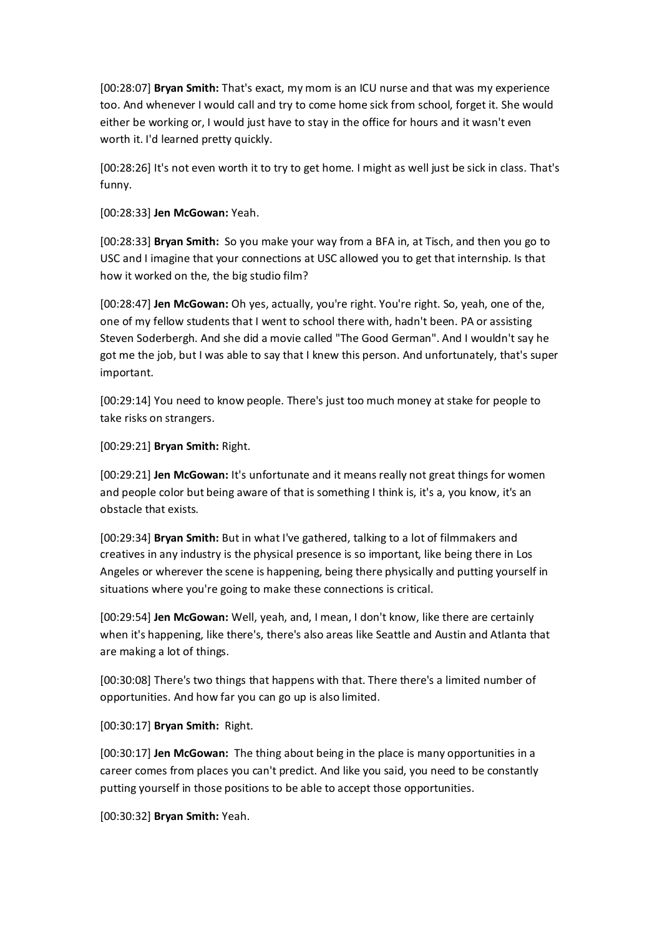[00:28:07] **Bryan Smith:** That's exact, my mom is an ICU nurse and that was my experience too. And whenever I would call and try to come home sick from school, forget it. She would either be working or, I would just have to stay in the office for hours and it wasn't even worth it. I'd learned pretty quickly.

[00:28:26] It's not even worth it to try to get home. I might as well just be sick in class. That's funny.

[00:28:33] **Jen McGowan:** Yeah.

[00:28:33] **Bryan Smith:** So you make your way from a BFA in, at Tisch, and then you go to USC and I imagine that your connections at USC allowed you to get that internship. Is that how it worked on the, the big studio film?

[00:28:47] **Jen McGowan:** Oh yes, actually, you're right. You're right. So, yeah, one of the, one of my fellow students that I went to school there with, hadn't been. PA or assisting Steven Soderbergh. And she did a movie called "The Good German". And I wouldn't say he got me the job, but I was able to say that I knew this person. And unfortunately, that's super important.

[00:29:14] You need to know people. There's just too much money at stake for people to take risks on strangers.

[00:29:21] **Bryan Smith:** Right.

[00:29:21] **Jen McGowan:** It's unfortunate and it means really not great things for women and people color but being aware of that is something I think is, it's a, you know, it's an obstacle that exists.

[00:29:34] **Bryan Smith:** But in what I've gathered, talking to a lot of filmmakers and creatives in any industry is the physical presence is so important, like being there in Los Angeles or wherever the scene is happening, being there physically and putting yourself in situations where you're going to make these connections is critical.

[00:29:54] **Jen McGowan:** Well, yeah, and, I mean, I don't know, like there are certainly when it's happening, like there's, there's also areas like Seattle and Austin and Atlanta that are making a lot of things.

[00:30:08] There's two things that happens with that. There there's a limited number of opportunities. And how far you can go up is also limited.

[00:30:17] **Bryan Smith:** Right.

[00:30:17] **Jen McGowan:** The thing about being in the place is many opportunities in a career comes from places you can't predict. And like you said, you need to be constantly putting yourself in those positions to be able to accept those opportunities.

[00:30:32] **Bryan Smith:** Yeah.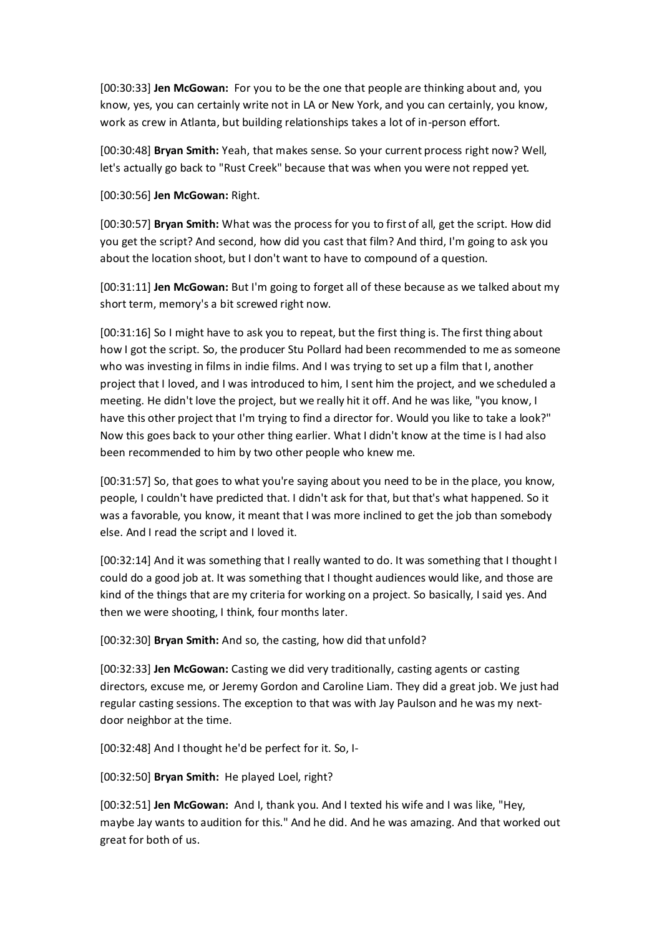[00:30:33] **Jen McGowan:** For you to be the one that people are thinking about and, you know, yes, you can certainly write not in LA or New York, and you can certainly, you know, work as crew in Atlanta, but building relationships takes a lot of in-person effort.

[00:30:48] **Bryan Smith:** Yeah, that makes sense. So your current process right now? Well, let's actually go back to "Rust Creek" because that was when you were not repped yet.

[00:30:56] **Jen McGowan:** Right.

[00:30:57] **Bryan Smith:** What was the process for you to first of all, get the script. How did you get the script? And second, how did you cast that film? And third, I'm going to ask you about the location shoot, but I don't want to have to compound of a question.

[00:31:11] **Jen McGowan:** But I'm going to forget all of these because as we talked about my short term, memory's a bit screwed right now.

[00:31:16] So I might have to ask you to repeat, but the first thing is. The first thing about how I got the script. So, the producer Stu Pollard had been recommended to me as someone who was investing in films in indie films. And I was trying to set up a film that I, another project that I loved, and I was introduced to him, I sent him the project, and we scheduled a meeting. He didn't love the project, but we really hit it off. And he was like, "you know, I have this other project that I'm trying to find a director for. Would you like to take a look?" Now this goes back to your other thing earlier. What I didn't know at the time is I had also been recommended to him by two other people who knew me.

[00:31:57] So, that goes to what you're saying about you need to be in the place, you know, people, I couldn't have predicted that. I didn't ask for that, but that's what happened. So it was a favorable, you know, it meant that I was more inclined to get the job than somebody else. And I read the script and I loved it.

[00:32:14] And it was something that I really wanted to do. It was something that I thought I could do a good job at. It was something that I thought audiences would like, and those are kind of the things that are my criteria for working on a project. So basically, I said yes. And then we were shooting, I think, four months later.

[00:32:30] **Bryan Smith:** And so, the casting, how did that unfold?

[00:32:33] **Jen McGowan:** Casting we did very traditionally, casting agents or casting directors, excuse me, or Jeremy Gordon and Caroline Liam. They did a great job. We just had regular casting sessions. The exception to that was with Jay Paulson and he was my nextdoor neighbor at the time.

[00:32:48] And I thought he'd be perfect for it. So, I-

[00:32:50] **Bryan Smith:** He played Loel, right?

[00:32:51] **Jen McGowan:** And I, thank you. And I texted his wife and I was like, "Hey, maybe Jay wants to audition for this." And he did. And he was amazing. And that worked out great for both of us.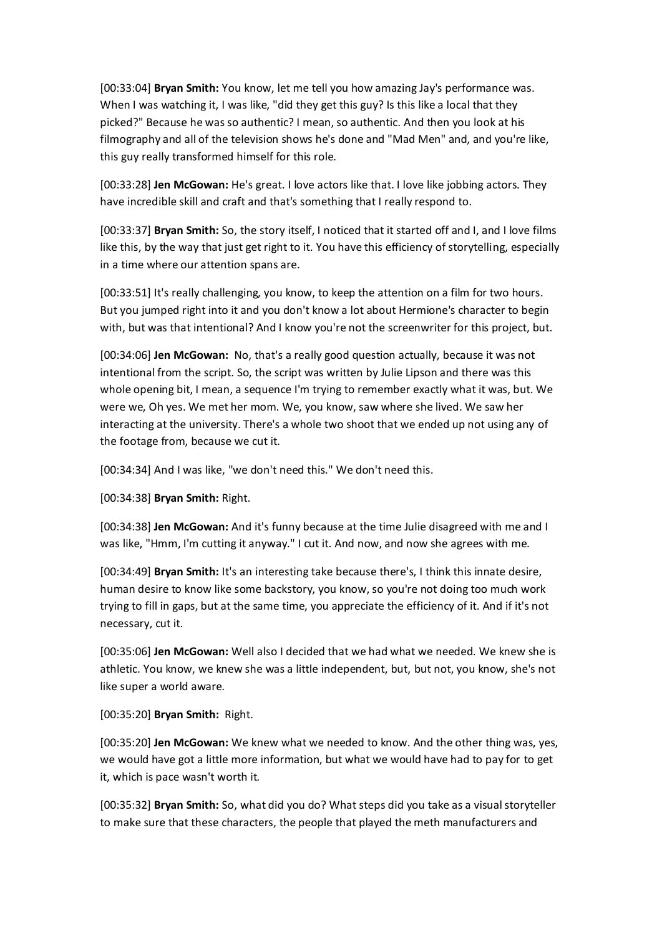[00:33:04] **Bryan Smith:** You know, let me tell you how amazing Jay's performance was. When I was watching it, I was like, "did they get this guy? Is this like a local that they picked?" Because he was so authentic? I mean, so authentic. And then you look at his filmography and all of the television shows he's done and "Mad Men" and, and you're like, this guy really transformed himself for this role.

[00:33:28] **Jen McGowan:** He's great. I love actors like that. I love like jobbing actors. They have incredible skill and craft and that's something that I really respond to.

[00:33:37] **Bryan Smith:** So, the story itself, I noticed that it started off and I, and I love films like this, by the way that just get right to it. You have this efficiency of storytelling, especially in a time where our attention spans are.

[00:33:51] It's really challenging, you know, to keep the attention on a film for two hours. But you jumped right into it and you don't know a lot about Hermione's character to begin with, but was that intentional? And I know you're not the screenwriter for this project, but.

[00:34:06] **Jen McGowan:** No, that's a really good question actually, because it was not intentional from the script. So, the script was written by Julie Lipson and there was this whole opening bit, I mean, a sequence I'm trying to remember exactly what it was, but. We were we, Oh yes. We met her mom. We, you know, saw where she lived. We saw her interacting at the university. There's a whole two shoot that we ended up not using any of the footage from, because we cut it.

[00:34:34] And I was like, "we don't need this." We don't need this.

[00:34:38] **Bryan Smith:** Right.

[00:34:38] **Jen McGowan:** And it's funny because at the time Julie disagreed with me and I was like, "Hmm, I'm cutting it anyway." I cut it. And now, and now she agrees with me.

[00:34:49] **Bryan Smith:** It's an interesting take because there's, I think this innate desire, human desire to know like some backstory, you know, so you're not doing too much work trying to fill in gaps, but at the same time, you appreciate the efficiency of it. And if it's not necessary, cut it.

[00:35:06] **Jen McGowan:** Well also I decided that we had what we needed. We knew she is athletic. You know, we knew she was a little independent, but, but not, you know, she's not like super a world aware.

[00:35:20] **Bryan Smith:** Right.

[00:35:20] **Jen McGowan:** We knew what we needed to know. And the other thing was, yes, we would have got a little more information, but what we would have had to pay for to get it, which is pace wasn't worth it.

[00:35:32] **Bryan Smith:** So, what did you do? What steps did you take as a visual storyteller to make sure that these characters, the people that played the meth manufacturers and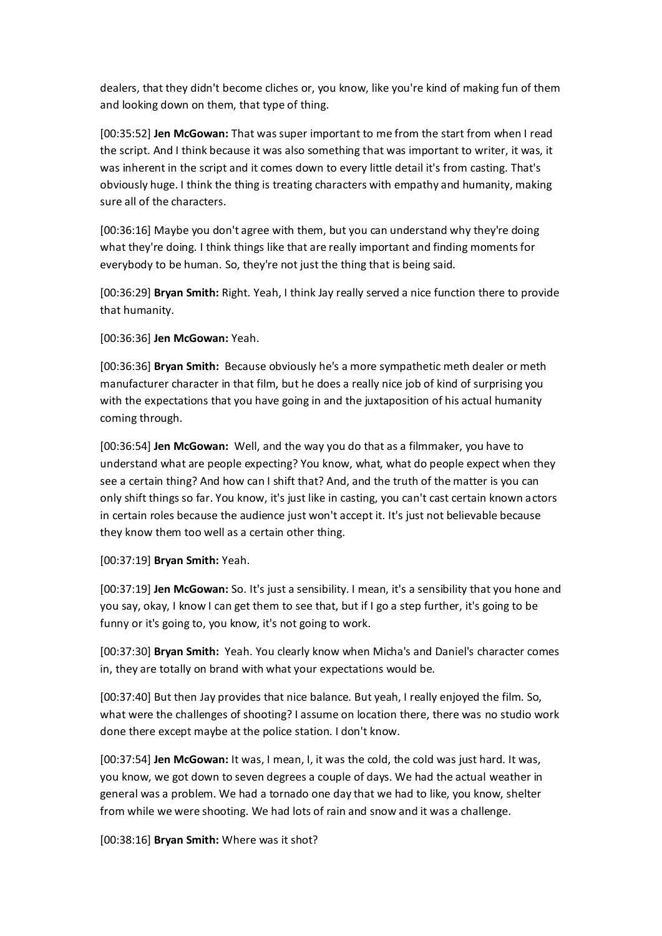dealers, that they didn't become cliches or, you know, like you're kind of making fun of them and looking down on them, that type of thing.

[00:35:52] **Jen McGowan:** That was super important to me from the start from when I read the script. And I think because it was also something that was important to writer, it was, it was inherent in the script and it comes down to every little detail it's from casting. That's obviously huge. I think the thing is treating characters with empathy and humanity, making sure all of the characters.

[00:36:16] Maybe you don't agree with them, but you can understand why they're doing what they're doing. I think things like that are really important and finding moments for everybody to be human. So, they're not just the thing that is being said.

[00:36:29] **Bryan Smith:** Right. Yeah, I think Jay really served a nice function there to provide that humanity.

[00:36:36] **Jen McGowan:** Yeah.

[00:36:36] **Bryan Smith:** Because obviously he's a more sympathetic meth dealer or meth manufacturer character in that film, but he does a really nice job of kind of surprising you with the expectations that you have going in and the juxtaposition of his actual humanity coming through.

[00:36:54] **Jen McGowan:** Well, and the way you do that as a filmmaker, you have to understand what are people expecting? You know, what, what do people expect when they see a certain thing? And how can I shift that? And, and the truth of the matter is you can only shift things so far. You know, it's just like in casting, you can't cast certain known actors in certain roles because the audience just won't accept it. It's just not believable because they know them too well as a certain other thing.

[00:37:19] **Bryan Smith:** Yeah.

[00:37:19] **Jen McGowan:** So. It's just a sensibility. I mean, it's a sensibility that you hone and you say, okay, I know I can get them to see that, but if I go a step further, it's going to be funny or it's going to, you know, it's not going to work.

[00:37:30] **Bryan Smith:** Yeah. You clearly know when Micha's and Daniel's character comes in, they are totally on brand with what your expectations would be.

[00:37:40] But then Jay provides that nice balance. But yeah, I really enjoyed the film. So, what were the challenges of shooting? I assume on location there, there was no studio work done there except maybe at the police station. I don't know.

[00:37:54] **Jen McGowan:** It was, I mean, I, it was the cold, the cold was just hard. It was, you know, we got down to seven degrees a couple of days. We had the actual weather in general was a problem. We had a tornado one day that we had to like, you know, shelter from while we were shooting. We had lots of rain and snow and it was a challenge.

[00:38:16] **Bryan Smith:** Where was it shot?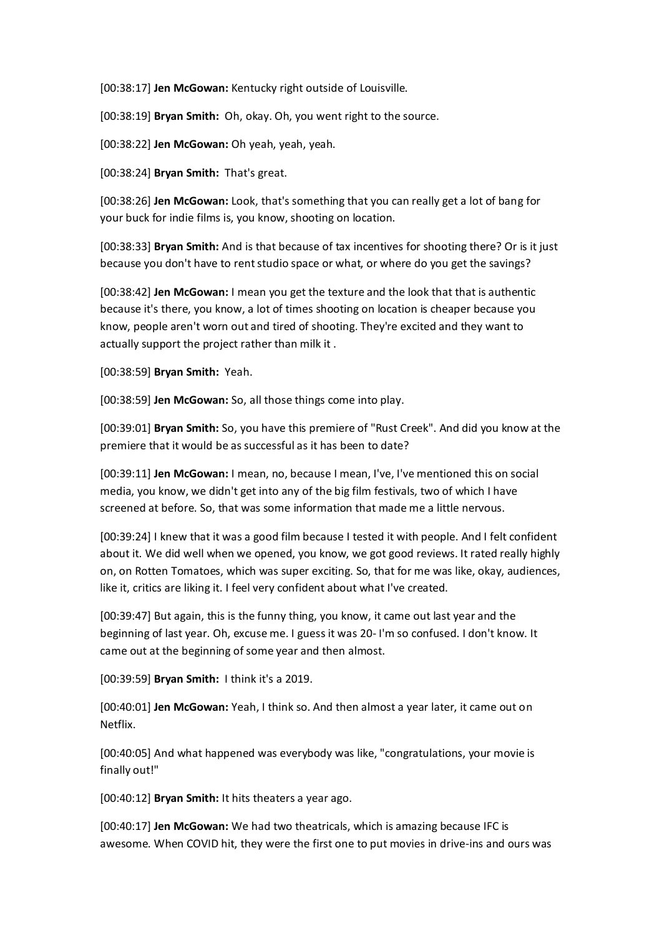[00:38:17] **Jen McGowan:** Kentucky right outside of Louisville.

[00:38:19] **Bryan Smith:** Oh, okay. Oh, you went right to the source.

[00:38:22] **Jen McGowan:** Oh yeah, yeah, yeah.

[00:38:24] **Bryan Smith:** That's great.

[00:38:26] **Jen McGowan:** Look, that's something that you can really get a lot of bang for your buck for indie films is, you know, shooting on location.

[00:38:33] **Bryan Smith:** And is that because of tax incentives for shooting there? Or is it just because you don't have to rent studio space or what, or where do you get the savings?

[00:38:42] **Jen McGowan:** I mean you get the texture and the look that that is authentic because it's there, you know, a lot of times shooting on location is cheaper because you know, people aren't worn out and tired of shooting. They're excited and they want to actually support the project rather than milk it .

[00:38:59] **Bryan Smith:** Yeah.

[00:38:59] **Jen McGowan:** So, all those things come into play.

[00:39:01] **Bryan Smith:** So, you have this premiere of "Rust Creek". And did you know at the premiere that it would be as successful as it has been to date?

[00:39:11] **Jen McGowan:** I mean, no, because I mean, I've, I've mentioned this on social media, you know, we didn't get into any of the big film festivals, two of which I have screened at before. So, that was some information that made me a little nervous.

[00:39:24] I knew that it was a good film because I tested it with people. And I felt confident about it. We did well when we opened, you know, we got good reviews. It rated really highly on, on Rotten Tomatoes, which was super exciting. So, that for me was like, okay, audiences, like it, critics are liking it. I feel very confident about what I've created.

[00:39:47] But again, this is the funny thing, you know, it came out last year and the beginning of last year. Oh, excuse me. I guess it was 20- I'm so confused. I don't know. It came out at the beginning of some year and then almost.

[00:39:59] **Bryan Smith:** I think it's a 2019.

[00:40:01] **Jen McGowan:** Yeah, I think so. And then almost a year later, it came out on Netflix.

[00:40:05] And what happened was everybody was like, "congratulations, your movie is finally out!"

[00:40:12] **Bryan Smith:** It hits theaters a year ago.

[00:40:17] **Jen McGowan:** We had two theatricals, which is amazing because IFC is awesome. When COVID hit, they were the first one to put movies in drive-ins and ours was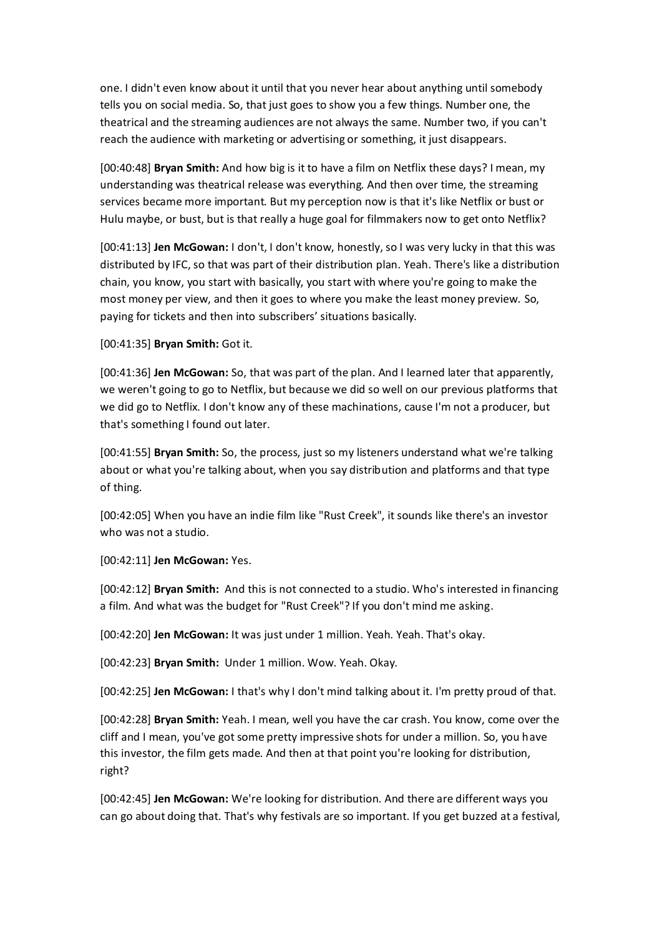one. I didn't even know about it until that you never hear about anything until somebody tells you on social media. So, that just goes to show you a few things. Number one, the theatrical and the streaming audiences are not always the same. Number two, if you can't reach the audience with marketing or advertising or something, it just disappears.

[00:40:48] **Bryan Smith:** And how big is it to have a film on Netflix these days? I mean, my understanding was theatrical release was everything. And then over time, the streaming services became more important. But my perception now is that it's like Netflix or bust or Hulu maybe, or bust, but is that really a huge goal for filmmakers now to get onto Netflix?

[00:41:13] **Jen McGowan:** I don't, I don't know, honestly, so I was very lucky in that this was distributed by IFC, so that was part of their distribution plan. Yeah. There's like a distribution chain, you know, you start with basically, you start with where you're going to make the most money per view, and then it goes to where you make the least money preview. So, paying for tickets and then into subscribers' situations basically.

[00:41:35] **Bryan Smith:** Got it.

[00:41:36] **Jen McGowan:** So, that was part of the plan. And I learned later that apparently, we weren't going to go to Netflix, but because we did so well on our previous platforms that we did go to Netflix. I don't know any of these machinations, cause I'm not a producer, but that's something I found out later.

[00:41:55] **Bryan Smith:** So, the process, just so my listeners understand what we're talking about or what you're talking about, when you say distribution and platforms and that type of thing.

[00:42:05] When you have an indie film like "Rust Creek", it sounds like there's an investor who was not a studio.

[00:42:11] **Jen McGowan:** Yes.

[00:42:12] **Bryan Smith:** And this is not connected to a studio. Who's interested in financing a film. And what was the budget for "Rust Creek"? If you don't mind me asking.

[00:42:20] **Jen McGowan:** It was just under 1 million. Yeah. Yeah. That's okay.

[00:42:23] **Bryan Smith:** Under 1 million. Wow. Yeah. Okay.

[00:42:25] **Jen McGowan:** I that's why I don't mind talking about it. I'm pretty proud of that.

[00:42:28] **Bryan Smith:** Yeah. I mean, well you have the car crash. You know, come over the cliff and I mean, you've got some pretty impressive shots for under a million. So, you have this investor, the film gets made. And then at that point you're looking for distribution, right?

[00:42:45] **Jen McGowan:** We're looking for distribution. And there are different ways you can go about doing that. That's why festivals are so important. If you get buzzed at a festival,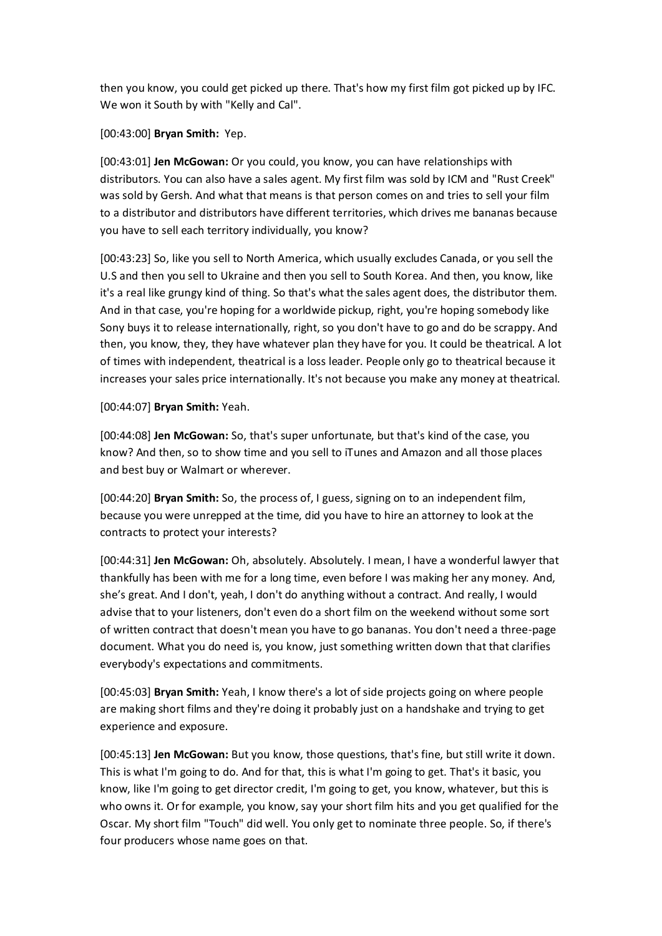then you know, you could get picked up there. That's how my first film got picked up by IFC. We won it South by with "Kelly and Cal".

[00:43:00] **Bryan Smith:** Yep.

[00:43:01] **Jen McGowan:** Or you could, you know, you can have relationships with distributors. You can also have a sales agent. My first film was sold by ICM and "Rust Creek" was sold by Gersh. And what that means is that person comes on and tries to sell your film to a distributor and distributors have different territories, which drives me bananas because you have to sell each territory individually, you know?

[00:43:23] So, like you sell to North America, which usually excludes Canada, or you sell the U.S and then you sell to Ukraine and then you sell to South Korea. And then, you know, like it's a real like grungy kind of thing. So that's what the sales agent does, the distributor them. And in that case, you're hoping for a worldwide pickup, right, you're hoping somebody like Sony buys it to release internationally, right, so you don't have to go and do be scrappy. And then, you know, they, they have whatever plan they have for you. It could be theatrical. A lot of times with independent, theatrical is a loss leader. People only go to theatrical because it increases your sales price internationally. It's not because you make any money at theatrical.

[00:44:07] **Bryan Smith:** Yeah.

[00:44:08] **Jen McGowan:** So, that's super unfortunate, but that's kind of the case, you know? And then, so to show time and you sell to iTunes and Amazon and all those places and best buy or Walmart or wherever.

[00:44:20] **Bryan Smith:** So, the process of, I guess, signing on to an independent film, because you were unrepped at the time, did you have to hire an attorney to look at the contracts to protect your interests?

[00:44:31] **Jen McGowan:** Oh, absolutely. Absolutely. I mean, I have a wonderful lawyer that thankfully has been with me for a long time, even before I was making her any money. And, she's great. And I don't, yeah, I don't do anything without a contract. And really, I would advise that to your listeners, don't even do a short film on the weekend without some sort of written contract that doesn't mean you have to go bananas. You don't need a three-page document. What you do need is, you know, just something written down that that clarifies everybody's expectations and commitments.

[00:45:03] **Bryan Smith:** Yeah, I know there's a lot of side projects going on where people are making short films and they're doing it probably just on a handshake and trying to get experience and exposure.

[00:45:13] **Jen McGowan:** But you know, those questions, that's fine, but still write it down. This is what I'm going to do. And for that, this is what I'm going to get. That's it basic, you know, like I'm going to get director credit, I'm going to get, you know, whatever, but this is who owns it. Or for example, you know, say your short film hits and you get qualified for the Oscar. My short film "Touch" did well. You only get to nominate three people. So, if there's four producers whose name goes on that.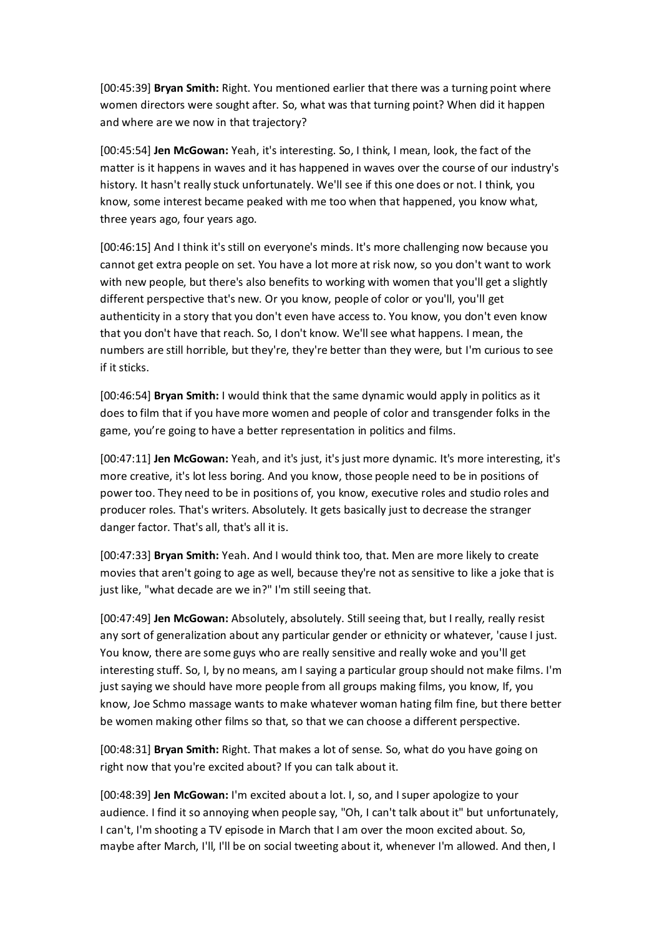[00:45:39] **Bryan Smith:** Right. You mentioned earlier that there was a turning point where women directors were sought after. So, what was that turning point? When did it happen and where are we now in that trajectory?

[00:45:54] **Jen McGowan:** Yeah, it's interesting. So, I think, I mean, look, the fact of the matter is it happens in waves and it has happened in waves over the course of our industry's history. It hasn't really stuck unfortunately. We'll see if this one does or not. I think, you know, some interest became peaked with me too when that happened, you know what, three years ago, four years ago.

[00:46:15] And I think it's still on everyone's minds. It's more challenging now because you cannot get extra people on set. You have a lot more at risk now, so you don't want to work with new people, but there's also benefits to working with women that you'll get a slightly different perspective that's new. Or you know, people of color or you'll, you'll get authenticity in a story that you don't even have access to. You know, you don't even know that you don't have that reach. So, I don't know. We'll see what happens. I mean, the numbers are still horrible, but they're, they're better than they were, but I'm curious to see if it sticks.

[00:46:54] **Bryan Smith:** I would think that the same dynamic would apply in politics as it does to film that if you have more women and people of color and transgender folks in the game, you're going to have a better representation in politics and films.

[00:47:11] **Jen McGowan:** Yeah, and it's just, it's just more dynamic. It's more interesting, it's more creative, it's lot less boring. And you know, those people need to be in positions of power too. They need to be in positions of, you know, executive roles and studio roles and producer roles. That's writers. Absolutely. It gets basically just to decrease the stranger danger factor. That's all, that's all it is.

[00:47:33] **Bryan Smith:** Yeah. And I would think too, that. Men are more likely to create movies that aren't going to age as well, because they're not as sensitive to like a joke that is just like, "what decade are we in?" I'm still seeing that.

[00:47:49] **Jen McGowan:** Absolutely, absolutely. Still seeing that, but I really, really resist any sort of generalization about any particular gender or ethnicity or whatever, 'cause I just. You know, there are some guys who are really sensitive and really woke and you'll get interesting stuff. So, I, by no means, am I saying a particular group should not make films. I'm just saying we should have more people from all groups making films, you know, If, you know, Joe Schmo massage wants to make whatever woman hating film fine, but there better be women making other films so that, so that we can choose a different perspective.

[00:48:31] **Bryan Smith:** Right. That makes a lot of sense. So, what do you have going on right now that you're excited about? If you can talk about it.

[00:48:39] **Jen McGowan:** I'm excited about a lot. I, so, and I super apologize to your audience. I find it so annoying when people say, "Oh, I can't talk about it" but unfortunately, I can't, I'm shooting a TV episode in March that I am over the moon excited about. So, maybe after March, I'll, I'll be on social tweeting about it, whenever I'm allowed. And then, I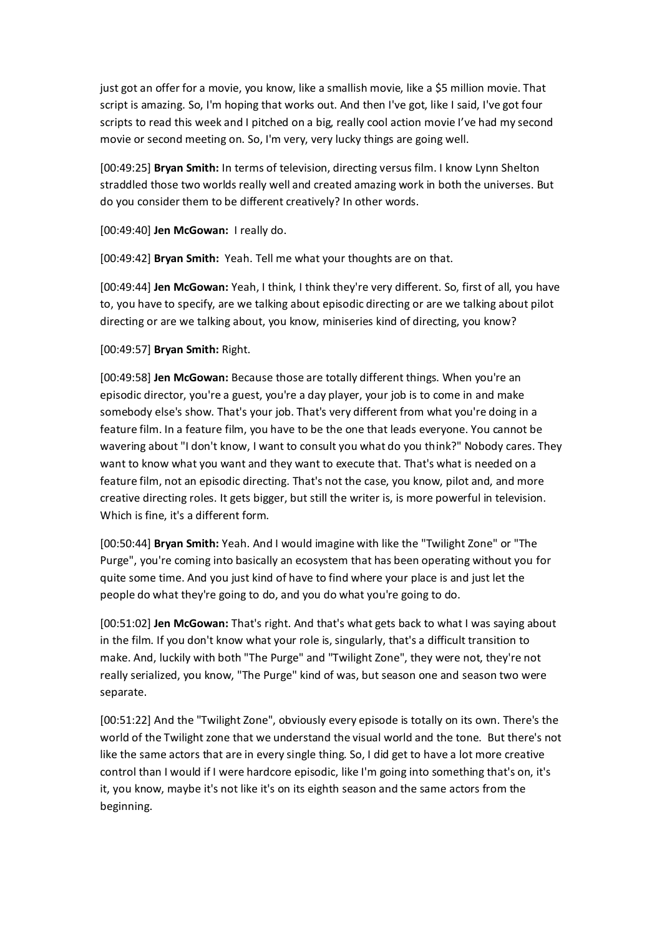just got an offer for a movie, you know, like a smallish movie, like a \$5 million movie. That script is amazing. So, I'm hoping that works out. And then I've got, like I said, I've got four scripts to read this week and I pitched on a big, really cool action movie I've had my second movie or second meeting on. So, I'm very, very lucky things are going well.

[00:49:25] **Bryan Smith:** In terms of television, directing versus film. I know Lynn Shelton straddled those two worlds really well and created amazing work in both the universes. But do you consider them to be different creatively? In other words.

[00:49:40] **Jen McGowan:** I really do.

[00:49:42] **Bryan Smith:** Yeah. Tell me what your thoughts are on that.

[00:49:44] **Jen McGowan:** Yeah, I think, I think they're very different. So, first of all, you have to, you have to specify, are we talking about episodic directing or are we talking about pilot directing or are we talking about, you know, miniseries kind of directing, you know?

## [00:49:57] **Bryan Smith:** Right.

[00:49:58] **Jen McGowan:** Because those are totally different things. When you're an episodic director, you're a guest, you're a day player, your job is to come in and make somebody else's show. That's your job. That's very different from what you're doing in a feature film. In a feature film, you have to be the one that leads everyone. You cannot be wavering about "I don't know, I want to consult you what do you think?" Nobody cares. They want to know what you want and they want to execute that. That's what is needed on a feature film, not an episodic directing. That's not the case, you know, pilot and, and more creative directing roles. It gets bigger, but still the writer is, is more powerful in television. Which is fine, it's a different form.

[00:50:44] **Bryan Smith:** Yeah. And I would imagine with like the "Twilight Zone" or "The Purge", you're coming into basically an ecosystem that has been operating without you for quite some time. And you just kind of have to find where your place is and just let the people do what they're going to do, and you do what you're going to do.

[00:51:02] **Jen McGowan:** That's right. And that's what gets back to what I was saying about in the film. If you don't know what your role is, singularly, that's a difficult transition to make. And, luckily with both "The Purge" and "Twilight Zone", they were not, they're not really serialized, you know, "The Purge" kind of was, but season one and season two were separate.

[00:51:22] And the "Twilight Zone", obviously every episode is totally on its own. There's the world of the Twilight zone that we understand the visual world and the tone. But there's not like the same actors that are in every single thing. So, I did get to have a lot more creative control than I would if I were hardcore episodic, like I'm going into something that's on, it's it, you know, maybe it's not like it's on its eighth season and the same actors from the beginning.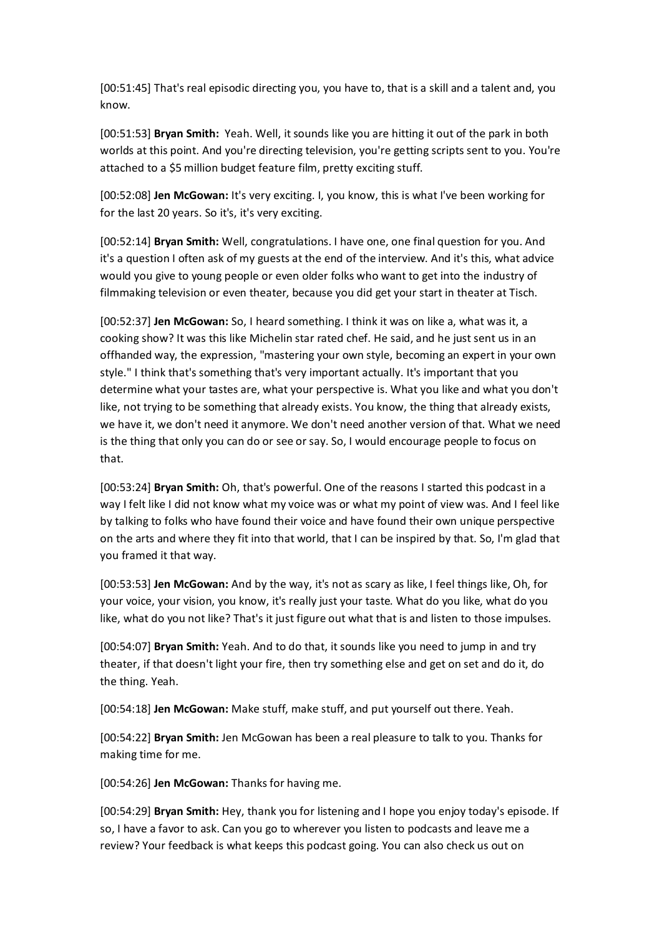[00:51:45] That's real episodic directing you, you have to, that is a skill and a talent and, you know.

[00:51:53] **Bryan Smith:** Yeah. Well, it sounds like you are hitting it out of the park in both worlds at this point. And you're directing television, you're getting scripts sent to you. You're attached to a \$5 million budget feature film, pretty exciting stuff.

[00:52:08] **Jen McGowan:** It's very exciting. I, you know, this is what I've been working for for the last 20 years. So it's, it's very exciting.

[00:52:14] **Bryan Smith:** Well, congratulations. I have one, one final question for you. And it's a question I often ask of my guests at the end of the interview. And it's this, what advice would you give to young people or even older folks who want to get into the industry of filmmaking television or even theater, because you did get your start in theater at Tisch.

[00:52:37] **Jen McGowan:** So, I heard something. I think it was on like a, what was it, a cooking show? It was this like Michelin star rated chef. He said, and he just sent us in an offhanded way, the expression, "mastering your own style, becoming an expert in your own style." I think that's something that's very important actually. It's important that you determine what your tastes are, what your perspective is. What you like and what you don't like, not trying to be something that already exists. You know, the thing that already exists, we have it, we don't need it anymore. We don't need another version of that. What we need is the thing that only you can do or see or say. So, I would encourage people to focus on that.

[00:53:24] **Bryan Smith:** Oh, that's powerful. One of the reasons I started this podcast in a way I felt like I did not know what my voice was or what my point of view was. And I feel like by talking to folks who have found their voice and have found their own unique perspective on the arts and where they fit into that world, that I can be inspired by that. So, I'm glad that you framed it that way.

[00:53:53] **Jen McGowan:** And by the way, it's not as scary as like, I feel things like, Oh, for your voice, your vision, you know, it's really just your taste. What do you like, what do you like, what do you not like? That's it just figure out what that is and listen to those impulses.

[00:54:07] **Bryan Smith:** Yeah. And to do that, it sounds like you need to jump in and try theater, if that doesn't light your fire, then try something else and get on set and do it, do the thing. Yeah.

[00:54:18] **Jen McGowan:** Make stuff, make stuff, and put yourself out there. Yeah.

[00:54:22] **Bryan Smith:** Jen McGowan has been a real pleasure to talk to you. Thanks for making time for me.

[00:54:26] **Jen McGowan:** Thanks for having me.

[00:54:29] **Bryan Smith:** Hey, thank you for listening and I hope you enjoy today's episode. If so, I have a favor to ask. Can you go to wherever you listen to podcasts and leave me a review? Your feedback is what keeps this podcast going. You can also check us out on